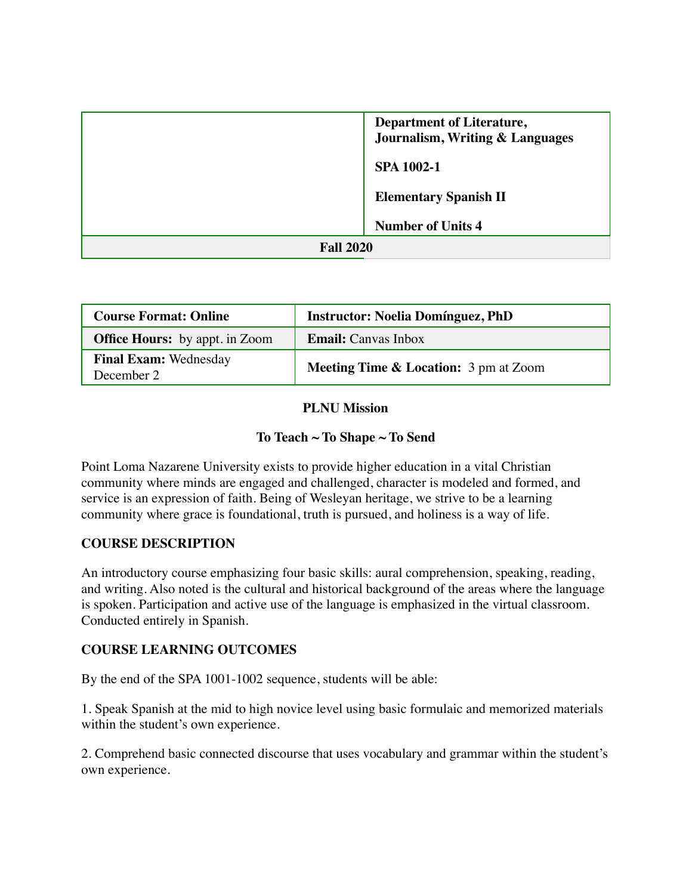|                  | <b>Department of Literature,</b><br>Journalism, Writing & Languages |  |
|------------------|---------------------------------------------------------------------|--|
|                  | <b>SPA 1002-1</b>                                                   |  |
|                  | <b>Elementary Spanish II</b>                                        |  |
|                  | <b>Number of Units 4</b>                                            |  |
| <b>Fall 2020</b> |                                                                     |  |

| <b>Course Format: Online</b>               | <b>Instructor: Noelia Domínguez, PhD</b>         |
|--------------------------------------------|--------------------------------------------------|
| <b>Office Hours:</b> by appt. in Zoom      | <b>Email:</b> Canvas Inbox                       |
| <b>Final Exam: Wednesday</b><br>December 2 | <b>Meeting Time &amp; Location:</b> 3 pm at Zoom |

### **PLNU Mission**

### **To Teach ~ To Shape ~ To Send**

Point Loma Nazarene University exists to provide higher education in a vital Christian community where minds are engaged and challenged, character is modeled and formed, and service is an expression of faith. Being of Wesleyan heritage, we strive to be a learning community where grace is foundational, truth is pursued, and holiness is a way of life.

### **COURSE DESCRIPTION**

An introductory course emphasizing four basic skills: aural comprehension, speaking, reading, and writing. Also noted is the cultural and historical background of the areas where the language is spoken. Participation and active use of the language is emphasized in the virtual classroom. Conducted entirely in Spanish.

### **COURSE LEARNING OUTCOMES**

By the end of the SPA 1001-1002 sequence, students will be able:

1. Speak Spanish at the mid to high novice level using basic formulaic and memorized materials within the student's own experience.

2. Comprehend basic connected discourse that uses vocabulary and grammar within the student's own experience.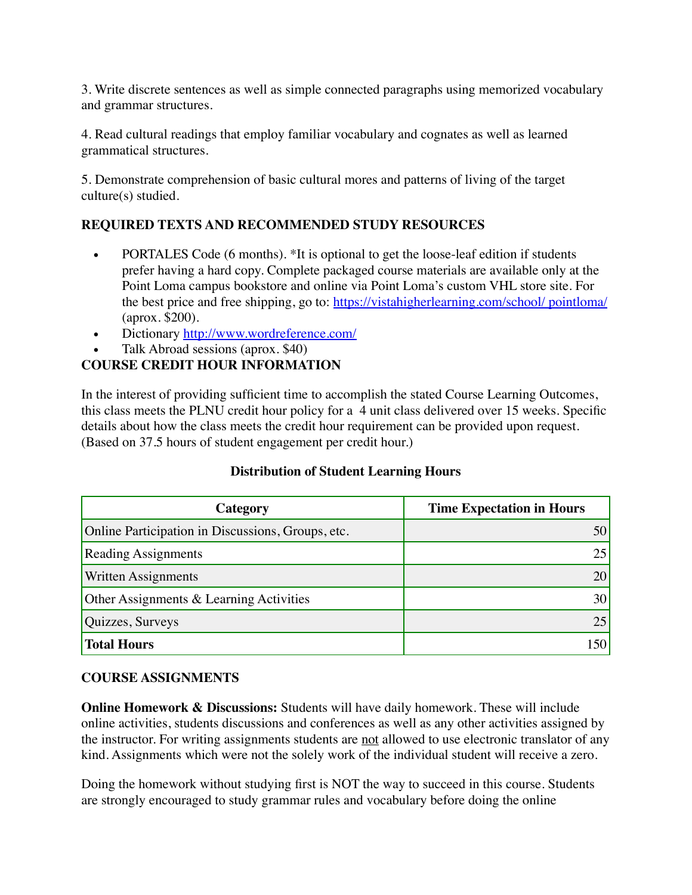3. Write discrete sentences as well as simple connected paragraphs using memorized vocabulary and grammar structures.

4. Read cultural readings that employ familiar vocabulary and cognates as well as learned grammatical structures.

5. Demonstrate comprehension of basic cultural mores and patterns of living of the target culture(s) studied.

# **REQUIRED TEXTS AND RECOMMENDED STUDY RESOURCES**

- PORTALES Code (6 months). \*It is optional to get the loose-leaf edition if students prefer having a hard copy. Complete packaged course materials are available only at the Point Loma campus bookstore and online via Point Loma's custom VHL store site. For the best price and free shipping, go to: [https://vistahigherlearning.com/school/ pointloma/](https://vistahigherlearning.com/school/pointloma) (aprox. \$200).
- Dictionary<http://www.wordreference.com/>
- Talk Abroad sessions (aprox. \$40)

## **COURSE CREDIT HOUR INFORMATION**

In the interest of providing sufficient time to accomplish the stated Course Learning Outcomes, this class meets the PLNU credit hour policy for a 4 unit class delivered over 15 weeks. Specific details about how the class meets the credit hour requirement can be provided upon request. (Based on 37.5 hours of student engagement per credit hour.)

#### **Distribution of Student Learning Hours**

| Category                                           | <b>Time Expectation in Hours</b> |  |
|----------------------------------------------------|----------------------------------|--|
| Online Participation in Discussions, Groups, etc.  |                                  |  |
| <b>Reading Assignments</b>                         | 25                               |  |
| Written Assignments                                | 20                               |  |
| <b>Other Assignments &amp; Learning Activities</b> | 30                               |  |
| Quizzes, Surveys                                   | 25                               |  |
| <b>Total Hours</b>                                 |                                  |  |

#### **COURSE ASSIGNMENTS**

**Online Homework & Discussions:** Students will have daily homework. These will include online activities, students discussions and conferences as well as any other activities assigned by the instructor. For writing assignments students are not allowed to use electronic translator of any kind. Assignments which were not the solely work of the individual student will receive a zero.

Doing the homework without studying first is NOT the way to succeed in this course. Students are strongly encouraged to study grammar rules and vocabulary before doing the online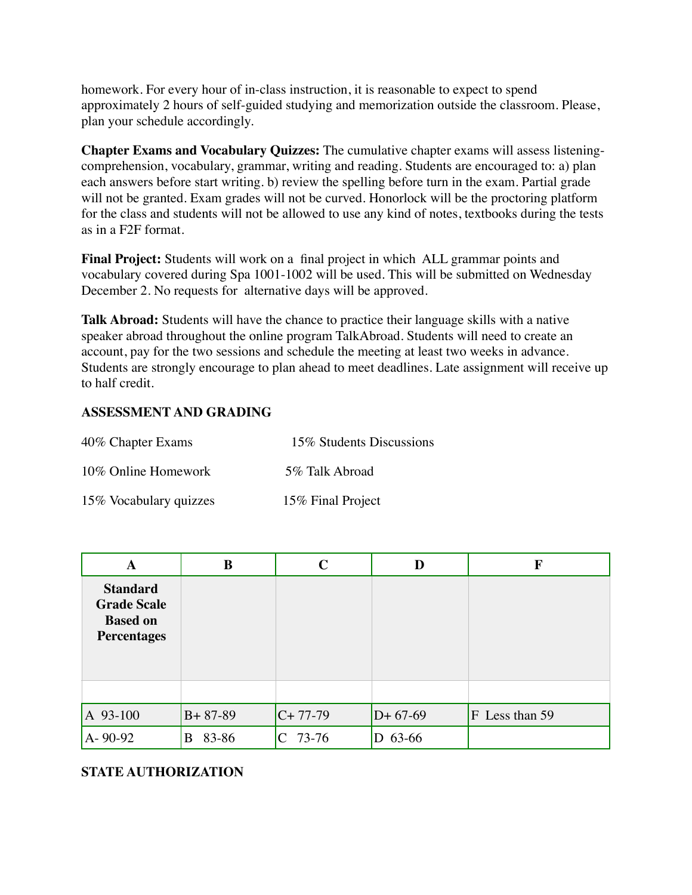homework. For every hour of in-class instruction, it is reasonable to expect to spend approximately 2 hours of self-guided studying and memorization outside the classroom. Please, plan your schedule accordingly.

**Chapter Exams and Vocabulary Quizzes:** The cumulative chapter exams will assess listeningcomprehension, vocabulary, grammar, writing and reading. Students are encouraged to: a) plan each answers before start writing. b) review the spelling before turn in the exam. Partial grade will not be granted. Exam grades will not be curved. Honorlock will be the proctoring platform for the class and students will not be allowed to use any kind of notes, textbooks during the tests as in a F2F format.

**Final Project:** Students will work on a final project in which ALL grammar points and vocabulary covered during Spa 1001-1002 will be used. This will be submitted on Wednesday December 2. No requests for alternative days will be approved.

**Talk Abroad:** Students will have the chance to practice their language skills with a native speaker abroad throughout the online program TalkAbroad. Students will need to create an account, pay for the two sessions and schedule the meeting at least two weeks in advance. Students are strongly encourage to plan ahead to meet deadlines. Late assignment will receive up to half credit.

### **ASSESSMENT AND GRADING**

| 40% Chapter Exams      | 15% Students Discussions |  |  |
|------------------------|--------------------------|--|--|
| 10\% Online Homework   | 5% Talk Abroad           |  |  |
| 15% Vocabulary quizzes | 15% Final Project        |  |  |

| A                                                                              | B             | $\mathbf C$ | D         | F              |
|--------------------------------------------------------------------------------|---------------|-------------|-----------|----------------|
| <b>Standard</b><br><b>Grade Scale</b><br><b>Based on</b><br><b>Percentages</b> |               |             |           |                |
|                                                                                |               |             |           |                |
| $A$ 93-100                                                                     | $B + 87 - 89$ | $C+77-79$   | $D+67-69$ | F Less than 59 |
| $A - 90 - 92$                                                                  | 83-86<br>B    | 73-76       | 63-66     |                |

### **STATE AUTHORIZATION**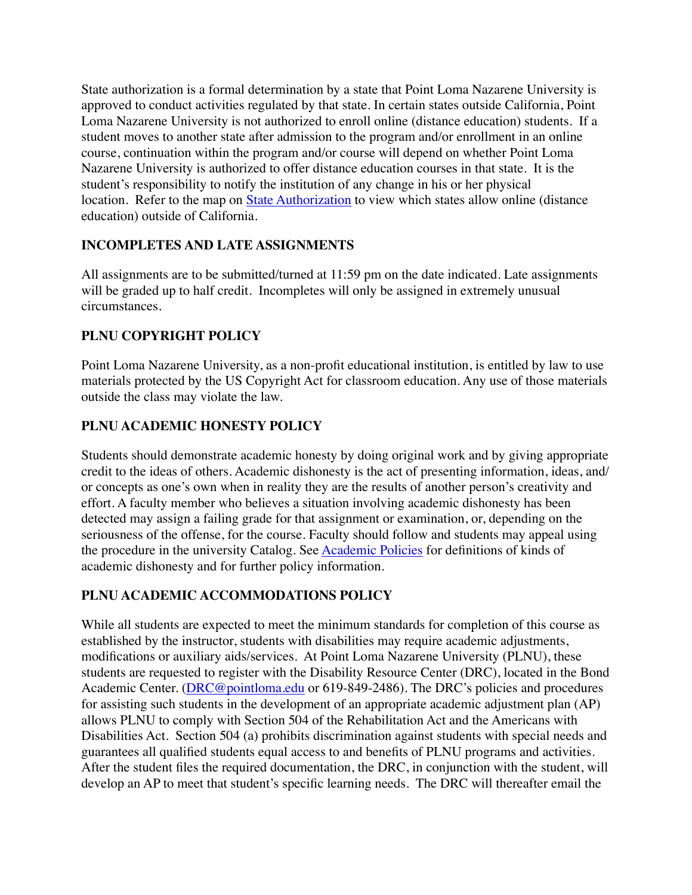State authorization is a formal determination by a state that Point Loma Nazarene University is approved to conduct activities regulated by that state. In certain states outside California, Point Loma Nazarene University is not authorized to enroll online (distance education) students. If a student moves to another state after admission to the program and/or enrollment in an online course, continuation within the program and/or course will depend on whether Point Loma Nazarene University is authorized to offer distance education courses in that state. It is the student's responsibility to notify the institution of any change in his or her physical location. Refer to the map on [State Authorization](https://www.pointloma.edu/offices/office-institutional-effectiveness-research/disclosures) to view which states allow online (distance education) outside of California.

## **INCOMPLETES AND LATE ASSIGNMENTS**

All assignments are to be submitted/turned at 11:59 pm on the date indicated. Late assignments will be graded up to half credit. Incompletes will only be assigned in extremely unusual circumstances.

# **PLNU COPYRIGHT POLICY**

Point Loma Nazarene University, as a non-profit educational institution, is entitled by law to use materials protected by the US Copyright Act for classroom education. Any use of those materials outside the class may violate the law.

# **PLNU ACADEMIC HONESTY POLICY**

Students should demonstrate academic honesty by doing original work and by giving appropriate credit to the ideas of others. Academic dishonesty is the act of presenting information, ideas, and/ or concepts as one's own when in reality they are the results of another person's creativity and effort. A faculty member who believes a situation involving academic dishonesty has been detected may assign a failing grade for that assignment or examination, or, depending on the seriousness of the offense, for the course. Faculty should follow and students may appeal using the procedure in the university Catalog. See [Academic Policies](http://catalog.pointloma.edu/content.php?catoid=18&navoid=1278) for definitions of kinds of academic dishonesty and for further policy information.

# **PLNU ACADEMIC ACCOMMODATIONS POLICY**

While all students are expected to meet the minimum standards for completion of this course as established by the instructor, students with disabilities may require academic adjustments, modifications or auxiliary aids/services. At Point Loma Nazarene University (PLNU), these students are requested to register with the Disability Resource Center (DRC), located in the Bond Academic Center. ([DRC@pointloma.edu](mailto:DRC@pointloma.edu) or 619-849-2486). The DRC's policies and procedures for assisting such students in the development of an appropriate academic adjustment plan (AP) allows PLNU to comply with Section 504 of the Rehabilitation Act and the Americans with Disabilities Act. Section 504 (a) prohibits discrimination against students with special needs and guarantees all qualified students equal access to and benefits of PLNU programs and activities. After the student files the required documentation, the DRC, in conjunction with the student, will develop an AP to meet that student's specific learning needs. The DRC will thereafter email the